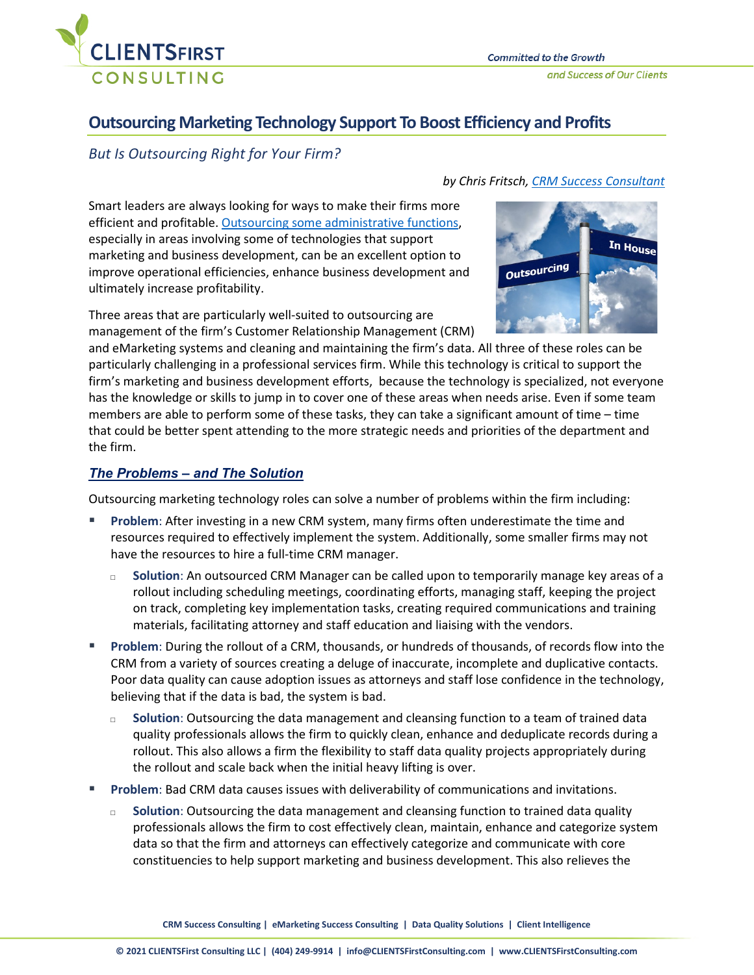

# **Outsourcing Marketing Technology Support To Boost Efficiency and Profits**

# *But Is Outsourcing Right for Your Firm?*

Smart leaders are always looking for ways to make their firms more efficient and profitable. [Outsourcing some administrative functions,](https://www.jdsupra.com/legalnews/driving-value-is-outsourcing-legal-39514/) especially in areas involving some of technologies that support marketing and business development, can be an excellent option to improve operational efficiencies, enhance business development and ultimately increase profitability.

Three areas that are particularly well-suited to outsourcing are management of the firm's Customer Relationship Management (CRM)

and eMarketing systems and cleaning and maintaining the firm's data. All three of these roles can be particularly challenging in a professional services firm. While this technology is critical to support the firm's marketing and business development efforts, because the technology is specialized, not everyone has the knowledge or skills to jump in to cover one of these areas when needs arise. Even if some team members are able to perform some of these tasks, they can take a significant amount of time – time that could be better spent attending to the more strategic needs and priorities of the department and the firm.

# *The Problems – and The Solution*

Outsourcing marketing technology roles can solve a number of problems within the firm including:

- **Problem**: After investing in a new CRM system, many firms often underestimate the time and resources required to effectively implement the system. Additionally, some smaller firms may not have the resources to hire a full-time CRM manager.
	- □ **Solution**: An outsourced CRM Manager can be called upon to temporarily manage key areas of a rollout including scheduling meetings, coordinating efforts, managing staff, keeping the project on track, completing key implementation tasks, creating required communications and training materials, facilitating attorney and staff education and liaising with the vendors.
- **Problem**: During the rollout of a CRM, thousands, or hundreds of thousands, of records flow into the CRM from a variety of sources creating a deluge of inaccurate, incomplete and duplicative contacts. Poor data quality can cause adoption issues as attorneys and staff lose confidence in the technology, believing that if the data is bad, the system is bad.
	- □ **Solution**: Outsourcing the data management and cleansing function to a team of trained data quality professionals allows the firm to quickly clean, enhance and deduplicate records during a rollout. This also allows a firm the flexibility to staff data quality projects appropriately during the rollout and scale back when the initial heavy lifting is over.
- **Problem**: Bad CRM data causes issues with deliverability of communications and invitations.
	- □ **Solution**: Outsourcing the data management and cleansing function to trained data quality professionals allows the firm to cost effectively clean, maintain, enhance and categorize system data so that the firm and attorneys can effectively categorize and communicate with core constituencies to help support marketing and business development. This also relieves the

# *by Chris Fritsch, [CRM Success Consultant](https://clientsfirstconsulting.com/professionals/chris-fritsch/)*

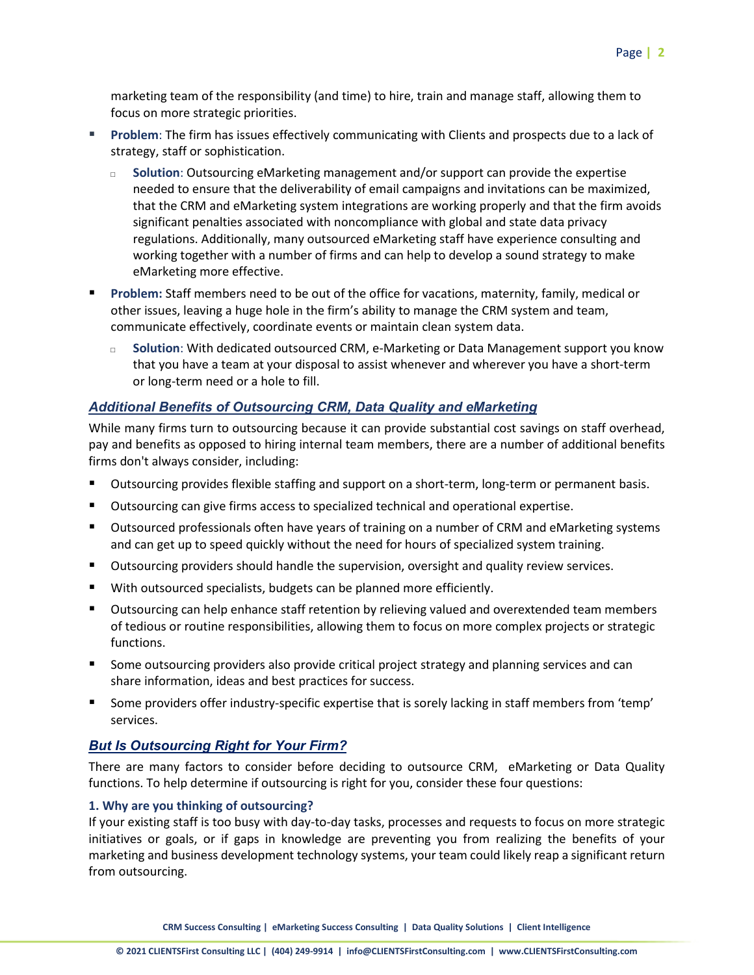marketing team of the responsibility (and time) to hire, train and manage staff, allowing them to focus on more strategic priorities.

- **Problem**: The firm has issues effectively communicating with Clients and prospects due to a lack of strategy, staff or sophistication.
	- □ **Solution**: Outsourcing eMarketing management and/or support can provide the expertise needed to ensure that the deliverability of email campaigns and invitations can be maximized, that the CRM and eMarketing system integrations are working properly and that the firm avoids significant penalties associated with noncompliance with global and state data privacy regulations. Additionally, many outsourced eMarketing staff have experience consulting and working together with a number of firms and can help to develop a sound strategy to make eMarketing more effective.
- **Problem:** Staff members need to be out of the office for vacations, maternity, family, medical or other issues, leaving a huge hole in the firm's ability to manage the CRM system and team, communicate effectively, coordinate events or maintain clean system data.
	- □ **Solution**: With dedicated outsourced CRM, e-Marketing or Data Management support you know that you have a team at your disposal to assist whenever and wherever you have a short-term or long-term need or a hole to fill.

# *Additional Benefits of Outsourcing CRM, Data Quality and eMarketing*

While many firms turn to outsourcing because it can provide substantial cost savings on staff overhead, pay and benefits as opposed to hiring internal team members, there are a number of additional benefits firms don't always consider, including:

- Outsourcing provides flexible staffing and support on a short-term, long-term or permanent basis.
- **Dutsourcing can give firms access to specialized technical and operational expertise.**
- **Dutsourced professionals often have years of training on a number of CRM and eMarketing systems** and can get up to speed quickly without the need for hours of specialized system training.
- **Dutsourcing providers should handle the supervision, oversight and quality review services.**
- **With outsourced specialists, budgets can be planned more efficiently.**
- **Dutsourcing can help enhance staff retention by relieving valued and overextended team members** of tedious or routine responsibilities, allowing them to focus on more complex projects or strategic functions.
- **Some outsourcing providers also provide critical project strategy and planning services and can** share information, ideas and best practices for success.
- Some providers offer industry-specific expertise that is sorely lacking in staff members from 'temp' services.

# *But Is Outsourcing Right for Your Firm?*

There are many factors to consider before deciding to outsource CRM, eMarketing or Data Quality functions. To help determine if outsourcing is right for you, consider these four questions:

## **1. Why are you thinking of outsourcing?**

If your existing staff is too busy with day-to-day tasks, processes and requests to focus on more strategic initiatives or goals, or if gaps in knowledge are preventing you from realizing the benefits of your marketing and business development technology systems, your team could likely reap a significant return from outsourcing.